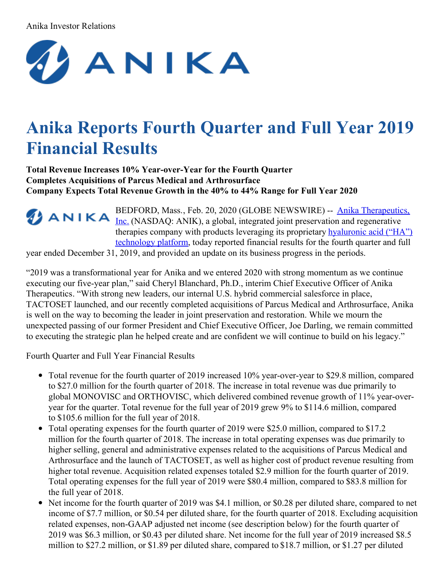#### Anika Investor Relations



# **Anika Reports Fourth Quarter and Full Year 2019 Financial Results**

**Total Revenue Increases 10% Year-over-Year for the Fourth Quarter Completes Acquisitions of Parcus Medical and Arthrosurface Company Expects Total Revenue Growth in the 40% to 44% Range for Full Year 2020**

> BEDFORD, Mass., Feb. 20, 2020 (GLOBE [NEWSWIRE\)](https://www.globenewswire.com/Tracker?data=5LxB3uastJvjYDADHTF-wEmgRt4sqt8ktU-tjN0TkhGAsfrNpratEWoXII_LxI0QmqOZ3YVXXayc4a92FYN-vpltqmHaNCKqZkKluB6rU2I=) -- Anika Therapeutics, Inc. (NASDAQ: ANIK), a global, integrated joint preservation and regenerative therapies company with products leveraging its [proprietary](https://www.globenewswire.com/Tracker?data=-0JR_jdXGiUsH4Lir-FPFFbiB5SZfyBkcHvVkQ6RpiJquB5_VhYk0ZrtgXn57QrR3iV1KDKYhmYvlvRnR0RA0JhysOygrlYQ8qPAzYB80HW81tE6Ic796jdVo-FgnO6sHKw5bb8qP3ApKlc5vhibEUFysDWiE2StqHnAi-mn4H8=) hyaluronic acid ("HA") technology platform, today reported financial results for the fourth quarter and full

year ended December 31, 2019, and provided an update on its business progress in the periods.

"2019 was a transformational year for Anika and we entered 2020 with strong momentum as we continue executing our five-year plan," said Cheryl Blanchard, Ph.D., interim Chief Executive Officer of Anika Therapeutics. "With strong new leaders, our internal U.S. hybrid commercial salesforce in place, TACTOSET launched, and our recently completed acquisitions of Parcus Medical and Arthrosurface, Anika is well on the way to becoming the leader in joint preservation and restoration. While we mourn the unexpected passing of our former President and Chief Executive Officer, Joe Darling, we remain committed to executing the strategic plan he helped create and are confident we will continue to build on his legacy."

Fourth Quarter and Full Year Financial Results

- Total revenue for the fourth quarter of 2019 increased 10% year-over-year to \$29.8 million, compared to \$27.0 million for the fourth quarter of 2018. The increase in total revenue was due primarily to global MONOVISC and ORTHOVISC, which delivered combined revenue growth of 11% year-overyear for the quarter. Total revenue for the full year of 2019 grew 9% to \$114.6 million, compared to \$105.6 million for the full year of 2018.
- Total operating expenses for the fourth quarter of 2019 were \$25.0 million, compared to \$17.2  $\bullet$ million for the fourth quarter of 2018. The increase in total operating expenses was due primarily to higher selling, general and administrative expenses related to the acquisitions of Parcus Medical and Arthrosurface and the launch of TACTOSET, as well as higher cost of product revenue resulting from higher total revenue. Acquisition related expenses totaled \$2.9 million for the fourth quarter of 2019. Total operating expenses for the full year of 2019 were \$80.4 million, compared to \$83.8 million for the full year of 2018.
- Net income for the fourth quarter of 2019 was \$4.1 million, or \$0.28 per diluted share, compared to net income of \$7.7 million, or \$0.54 per diluted share, for the fourth quarter of 2018. Excluding acquisition related expenses, non-GAAP adjusted net income (see description below) for the fourth quarter of 2019 was \$6.3 million, or \$0.43 per diluted share. Net income for the full year of 2019 increased \$8.5 million to \$27.2 million, or \$1.89 per diluted share, compared to \$18.7 million, or \$1.27 per diluted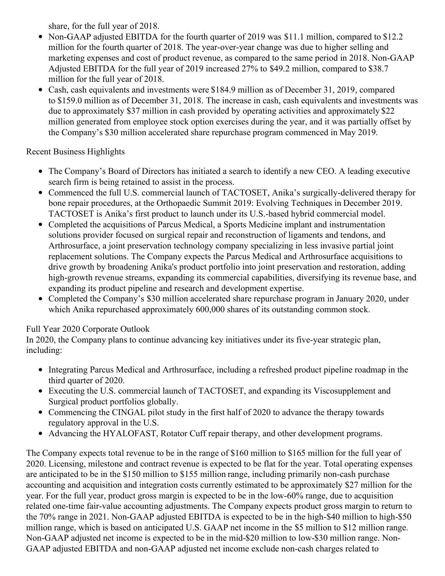share, for the full year of 2018.

- Non-GAAP adjusted EBITDA for the fourth quarter of 2019 was \$11.1 million, compared to \$12.2 million for the fourth quarter of 2018. The year-over-year change was due to higher selling and marketing expenses and cost of product revenue, as compared to the same period in 2018. Non-GAAP Adjusted EBITDA for the full year of 2019 increased 27% to \$49.2 million, compared to \$38.7 million for the full year of 2018.
- Cash, cash equivalents and investments were \$184.9 million as of December 31, 2019, compared to \$159.0 million as of December 31, 2018. The increase in cash, cash equivalents and investments was due to approximately \$37 million in cash provided by operating activities and approximately \$22 million generated from employee stock option exercises during the year, and it was partially offset by the Company's \$30 million accelerated share repurchase program commenced in May 2019.

# Recent Business Highlights

- The Company's Board of Directors has initiated a search to identify a new CEO. A leading executive search firm is being retained to assist in the process.
- Commenced the full U.S. commercial launch of TACTOSET, Anika's surgically-delivered therapy for bone repair procedures, at the Orthopaedic Summit 2019: Evolving Techniques in December 2019. TACTOSET is Anika's first product to launch under its U.S.-based hybrid commercial model.
- Completed the acquisitions of Parcus Medical, a Sports Medicine implant and instrumentation solutions provider focused on surgical repair and reconstruction of ligaments and tendons, and Arthrosurface, a joint preservation technology company specializing in less invasive partial joint replacement solutions. The Company expects the Parcus Medical and Arthrosurface acquisitions to drive growth by broadening Anika's product portfolio into joint preservation and restoration, adding high-growth revenue streams, expanding its commercial capabilities, diversifying its revenue base, and expanding its product pipeline and research and development expertise.
- Completed the Company's \$30 million accelerated share repurchase program in January 2020, under which Anika repurchased approximately 600,000 shares of its outstanding common stock.

# Full Year 2020 Corporate Outlook

In 2020, the Company plans to continue advancing key initiatives under its five-year strategic plan, including:

- Integrating Parcus Medical and Arthrosurface, including a refreshed product pipeline roadmap in the third quarter of 2020.
- Executing the U.S. commercial launch of TACTOSET, and expanding its Viscosupplement and Surgical product portfolios globally.
- Commencing the CINGAL pilot study in the first half of 2020 to advance the therapy towards regulatory approval in the U.S.
- Advancing the HYALOFAST, Rotator Cuff repair therapy, and other development programs.

The Company expects total revenue to be in the range of \$160 million to \$165 million for the full year of 2020. Licensing, milestone and contract revenue is expected to be flat for the year. Total operating expenses are anticipated to be in the \$150 million to \$155 million range, including primarily non-cash purchase accounting and acquisition and integration costs currently estimated to be approximately \$27 million for the year. For the full year, product gross margin is expected to be in the low-60% range, due to acquisition related one-time fair-value accounting adjustments. The Company expects product gross margin to return to the 70% range in 2021. Non-GAAP adjusted EBITDA is expected to be in the high-\$40 million to high-\$50 million range, which is based on anticipated U.S. GAAP net income in the \$5 million to \$12 million range. Non-GAAP adjusted net income is expected to be in the mid-\$20 million to low-\$30 million range. Non-GAAP adjusted EBITDA and non-GAAP adjusted net income exclude non-cash charges related to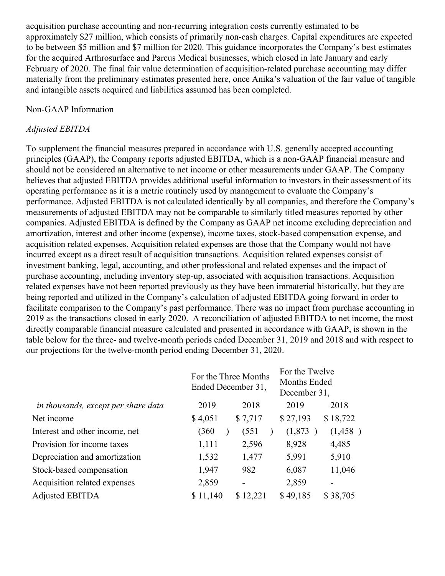acquisition purchase accounting and non-recurring integration costs currently estimated to be approximately \$27 million, which consists of primarily non-cash charges. Capital expenditures are expected to be between \$5 million and \$7 million for 2020. This guidance incorporates the Company's best estimates for the acquired Arthrosurface and Parcus Medical businesses, which closed in late January and early February of 2020. The final fair value determination of acquisition-related purchase accounting may differ materially from the preliminary estimates presented here, once Anika's valuation of the fair value of tangible and intangible assets acquired and liabilities assumed has been completed.

#### Non-GAAP Information

#### *Adjusted EBITDA*

To supplement the financial measures prepared in accordance with U.S. generally accepted accounting principles (GAAP), the Company reports adjusted EBITDA, which is a non-GAAP financial measure and should not be considered an alternative to net income or other measurements under GAAP. The Company believes that adjusted EBITDA provides additional useful information to investors in their assessment of its operating performance as it is a metric routinely used by management to evaluate the Company's performance. Adjusted EBITDA is not calculated identically by all companies, and therefore the Company's measurements of adjusted EBITDA may not be comparable to similarly titled measures reported by other companies. Adjusted EBITDA is defined by the Company as GAAP net income excluding depreciation and amortization, interest and other income (expense), income taxes, stock-based compensation expense, and acquisition related expenses. Acquisition related expenses are those that the Company would not have incurred except as a direct result of acquisition transactions. Acquisition related expenses consist of investment banking, legal, accounting, and other professional and related expenses and the impact of purchase accounting, including inventory step-up, associated with acquisition transactions. Acquisition related expenses have not been reported previously as they have been immaterial historically, but they are being reported and utilized in the Company's calculation of adjusted EBITDA going forward in order to facilitate comparison to the Company's past performance. There was no impact from purchase accounting in 2019 as the transactions closed in early 2020. A reconciliation of adjusted EBITDA to net income, the most directly comparable financial measure calculated and presented in accordance with GAAP, is shown in the table below for the three- and twelve-month periods ended December 31, 2019 and 2018 and with respect to our projections for the twelve-month period ending December 31, 2020.

|                                     | Ended December 31, | For the Three Months | For the Twelve<br>Months Ended<br>December 31, |          |  |
|-------------------------------------|--------------------|----------------------|------------------------------------------------|----------|--|
| in thousands, except per share data | 2019               | 2018                 | 2019                                           | 2018     |  |
| Net income                          | \$4,051            | \$7,717              | \$27,193                                       | \$18,722 |  |
| Interest and other income, net      | (360               | (551)                | (1,873)                                        | (1,458)  |  |
| Provision for income taxes          | 1,111              | 2,596                | 8,928                                          | 4,485    |  |
| Depreciation and amortization       | 1,532              | 1,477                | 5,991                                          | 5,910    |  |
| Stock-based compensation            | 1,947              | 982                  | 6,087                                          | 11,046   |  |
| Acquisition related expenses        | 2,859              |                      | 2,859                                          |          |  |
| <b>Adjusted EBITDA</b>              | \$11,140           | \$12,221             | \$49,185                                       | \$38,705 |  |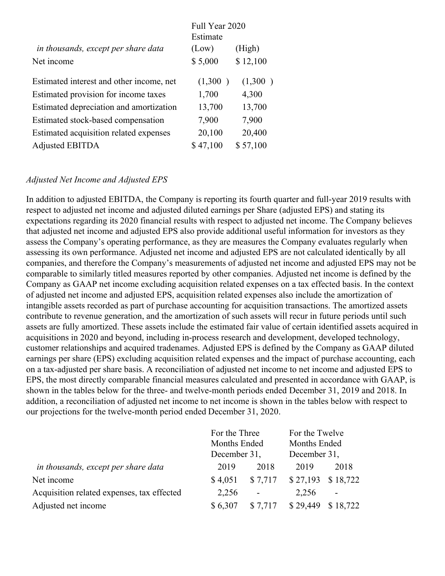|                                          | Full Year 2020 |          |  |  |  |
|------------------------------------------|----------------|----------|--|--|--|
|                                          | Estimate       |          |  |  |  |
| in thousands, except per share data      | (Low)          | (High)   |  |  |  |
| Net income                               | \$5,000        | \$12,100 |  |  |  |
| Estimated interest and other income, net | (1,300)        | (1,300)  |  |  |  |
| Estimated provision for income taxes     | 1,700          | 4,300    |  |  |  |
| Estimated depreciation and amortization  | 13,700         | 13,700   |  |  |  |
| Estimated stock-based compensation       | 7,900          | 7,900    |  |  |  |
| Estimated acquisition related expenses   | 20,100         | 20,400   |  |  |  |
| <b>Adjusted EBITDA</b>                   | \$47,100       | \$57,100 |  |  |  |

### *Adjusted Net Income and Adjusted EPS*

In addition to adjusted EBITDA, the Company is reporting its fourth quarter and full-year 2019 results with respect to adjusted net income and adjusted diluted earnings per Share (adjusted EPS) and stating its expectations regarding its 2020 financial results with respect to adjusted net income. The Company believes that adjusted net income and adjusted EPS also provide additional useful information for investors as they assess the Company's operating performance, as they are measures the Company evaluates regularly when assessing its own performance. Adjusted net income and adjusted EPS are not calculated identically by all companies, and therefore the Company's measurements of adjusted net income and adjusted EPS may not be comparable to similarly titled measures reported by other companies. Adjusted net income is defined by the Company as GAAP net income excluding acquisition related expenses on a tax effected basis. In the context of adjusted net income and adjusted EPS, acquisition related expenses also include the amortization of intangible assets recorded as part of purchase accounting for acquisition transactions. The amortized assets contribute to revenue generation, and the amortization of such assets will recur in future periods until such assets are fully amortized. These assets include the estimated fair value of certain identified assets acquired in acquisitions in 2020 and beyond, including in-process research and development, developed technology, customer relationships and acquired tradenames. Adjusted EPS is defined by the Company as GAAP diluted earnings per share (EPS) excluding acquisition related expenses and the impact of purchase accounting, each on a tax-adjusted per share basis. A reconciliation of adjusted net income to net income and adjusted EPS to EPS, the most directly comparable financial measures calculated and presented in accordance with GAAP, is shown in the tables below for the three- and twelve-month periods ended December 31, 2019 and 2018. In addition, a reconciliation of adjusted net income to net income is shown in the tables below with respect to our projections for the twelve-month period ended December 31, 2020.

|                                            | For the Three<br>Months Ended |         | For the Twelve      |          |
|--------------------------------------------|-------------------------------|---------|---------------------|----------|
|                                            |                               |         | <b>Months Ended</b> |          |
|                                            | December 31,                  |         | December 31,        |          |
| in thousands, except per share data        | 2019                          | 2018    | 2019                | 2018     |
| Net income                                 | \$4,051                       | \$7,717 | \$27,193            | \$18,722 |
| Acquisition related expenses, tax effected | 2,256                         |         | 2,256               |          |
| Adjusted net income                        | \$6,307                       | \$7,717 | \$29,449            | \$18,722 |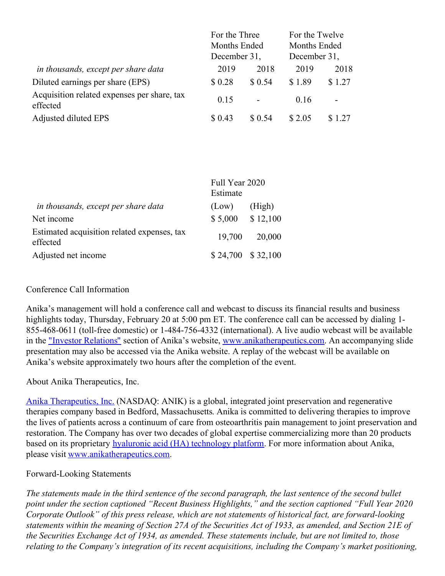|                                                         | For the Three<br><b>Months Ended</b> |                          | For the Twelve<br><b>Months Ended</b><br>December 31, |        |  |
|---------------------------------------------------------|--------------------------------------|--------------------------|-------------------------------------------------------|--------|--|
|                                                         | December 31,                         |                          |                                                       |        |  |
| in thousands, except per share data                     | 2019                                 | 2018                     | 2019                                                  | 2018   |  |
| Diluted earnings per share (EPS)                        | \$0.28                               | \$0.54                   | \$1.89                                                | \$1.27 |  |
| Acquisition related expenses per share, tax<br>effected | 0.15                                 | $\overline{\phantom{0}}$ | 0.16                                                  |        |  |
| Adjusted diluted EPS                                    | \$ 0.43                              | \$ 0.54                  | \$2.05                                                | \$1.27 |  |

|                                                         | Full Year 2020<br>Estimate |          |  |  |  |
|---------------------------------------------------------|----------------------------|----------|--|--|--|
| in thousands, except per share data                     | (Low)                      | (High)   |  |  |  |
| Net income                                              | \$5,000                    | \$12,100 |  |  |  |
| Estimated acquisition related expenses, tax<br>effected | 19,700                     | 20,000   |  |  |  |
| Adjusted net income                                     | \$24,700 \$32,100          |          |  |  |  |

## Conference Call Information

Anika's management will hold a conference call and webcast to discuss its financial results and business highlights today, Thursday, February 20 at 5:00 pm ET. The conference call can be accessed by dialing 1- 855-468-0611 (toll-free domestic) or 1-484-756-4332 (international). A live audio webcast will be available in the ["](https://www.globenewswire.com/Tracker?data=W0im8JfMallINyehfixK7efByZxxfXoltdTiYHfl8suYG6n9d1rLGicEL-D14etiEppa-NDgaQWYWqt62MZJXPXOvW4eRm_fd5Cw0rz6PuY=)Investor [Relations](https://www.globenewswire.com/Tracker?data=gxps1gIW_9VKaR9aMm1prIdlV1RFqburueJILWb30KYSAHe1OYnjR70UL5kb2juPIPJsQT7zBToFbq3SWIk5jcvfNwnQWV6rNAbhgs_h1YpapZtPbXeMV9D1ULYnRZ0s)" section of Anika's website, [www.anikatherapeutics.com](https://www.globenewswire.com/Tracker?data=uD7PaSA5pzyVzIOL8NF3iGfGHA7nauxSfZAYTzR_15XM2HT3vgapAcXsZMcL7xcI_FOkVtkZWaY9IUlLKgKRFmOocZUzRlJzcQUrIrSNc9Y=). An accompanying slide presentation may also be accessed via the Anika website. A replay of the webcast will be available on Anika's website approximately two hours after the completion of the event.

About Anika Therapeutics, Inc.

Anika [Therapeutics,](https://www.globenewswire.com/Tracker?data=5LxB3uastJvjYDADHTF-wEmgRt4sqt8ktU-tjN0TkhEdEINnoUnaNYHwbevelOJTat-aQ53sk0FVwzqC1SMqLH3anfO6eIHr1PQoCuFwvqk9HD0pTIHTxY4ivnabhjPi) Inc. (NASDAQ: ANIK) is a global, integrated joint preservation and regenerative therapies company based in Bedford, Massachusetts. Anika is committed to delivering therapies to improve the lives of patients across a continuum of care from osteoarthritis pain management to joint preservation and restoration. The Company has over two decades of global expertise commercializing more than 20 products based on its proprietary hyaluronic acid (HA) [technology](https://www.globenewswire.com/Tracker?data=-0JR_jdXGiUsH4Lir-FPFI2DRFqEvQUnt0ptvWBlKm7dbFJ30E5HcryvuBudtgU5PpMkJs77cx9heTBIxtCu--fV9K_qJoeukBe4eqn1OFFanb4_4heFOvZnvPDk4mhrHy30blmO3vvOmmFS7itarR0jfMZRvUlVZez4y4o-6fg=) platform. For more information about Anika, please visit [www.anikatherapeutics.com](https://www.globenewswire.com/Tracker?data=uD7PaSA5pzyVzIOL8NF3iGfGHA7nauxSfZAYTzR_15XivVIzM8c_JTH5HfqcdaVAf4YMPBINg7LNxpulz_hcP31h21NdBCb0A7pHgBMMcMY=).

#### Forward-Looking Statements

The statements made in the third sentence of the second paragraph, the last sentence of the second bullet *point under the section captioned "Recent Business Highlights," and the section captioned "Full Year 2020 Corporate Outlook" of this press release, which are not statements of historical fact, are forward-looking* statements within the meaning of Section 27A of the Securities Act of 1933, as amended, and Section 21E of *the Securities Exchange Act of 1934, as amended. These statements include, but are not limited to, those relating to the Company's integration of its recent acquisitions, including the Company's market positioning,*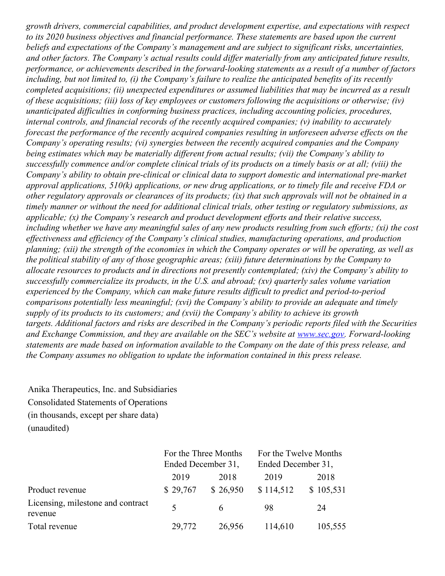*growth drivers, commercial capabilities, and product development expertise, and expectations with respect to its 2020 business objectives and financial performance. These statements are based upon the current beliefs and expectations of the Company's management and are subject to significant risks, uncertainties, and other factors. The Company's actual results could dif er materially from any anticipated future results, performance, or achievements described in the forward-looking statements as a result of a number of factors* including, but not limited to, (i) the Company's failure to realize the anticipated benefits of its recently *completed acquisitions; (ii) unexpected expenditures or assumed liabilities that may be incurred as a result of these acquisitions; (iii) loss of key employees or customers following the acquisitions or otherwise; (iv) unanticipated dif iculties in conforming business practices, including accounting policies, procedures, internal controls, and financial records of the recently acquired companies; (v) inability to accurately forecast the performance of the recently acquired companies resulting in unforeseen adverse ef ects on the Company's operating results; (vi) synergies between the recently acquired companies and the Company being estimates which may be materially dif erent from actual results; (vii) the Company's ability to* successfully commence and/or complete clinical trials of its products on a timely basis or at all; (viii) the *Company's ability to obtain pre-clinical or clinical data to support domestic and international pre-market approval applications, 510(k) applications, or new drug applications, or to timely file and receive FDA or* other regulatory approvals or clearances of its products; (ix) that such approvals will not be obtained in a *timely manner or without the need for additional clinical trials, other testing or regulatory submissions, as applicable; (x) the Company's research and product development ef orts and their relative success,* including whether we have any meaningful sales of any new products resulting from such efforts; (xi) the cost *ef ectiveness and ef iciency of the Company's clinical studies, manufacturing operations, and production* planning; (xii) the strength of the economies in which the Company operates or will be operating, as well as *the political stability of any of those geographic areas; (xiii) future determinations by the Company to allocate resources to products and in directions not presently contemplated; (xiv) the Company's ability to successfully commercialize its products, in the U.S. and abroad; (xv) quarterly sales volume variation experienced by the Company, which can make future results dif icult to predict and period-to-period comparisons potentially less meaningful; (xvi) the Company's ability to provide an adequate and timely supply of its products to its customers; and (xvii) the Company's ability to achieve its growth targets. Additional factors and risks are described in the Company's periodic reports filed with the Securities and Exchange Commission, and they are available on the SEC's website at [www.sec.gov](http://www.sec.gov/). Forward-looking* statements are made based on information available to the Company on the date of this press release, and *the Company assumes no obligation to update the information contained in this press release.*

Anika Therapeutics, Inc. and Subsidiaries Consolidated Statements of Operations (in thousands, except per share data) (unaudited)

|                                              |                    | For the Three Months | For the Twelve Months |           |  |
|----------------------------------------------|--------------------|----------------------|-----------------------|-----------|--|
|                                              | Ended December 31, |                      | Ended December 31,    |           |  |
|                                              | 2019               | 2018                 | 2019                  | 2018      |  |
| Product revenue                              | \$29,767           | \$26,950             | \$114,512             | \$105,531 |  |
| Licensing, milestone and contract<br>revenue | 5                  | 6                    | 98                    | 24        |  |
| Total revenue                                | 29,772             | 26,956               | 114,610               | 105,555   |  |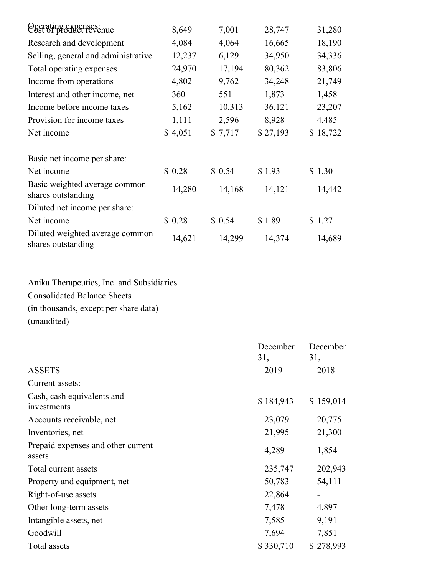| Operating expenses:<br>Cost of product revenue        | 8,649   | 7,001   | 28,747   | 31,280   |
|-------------------------------------------------------|---------|---------|----------|----------|
| Research and development                              | 4,084   | 4,064   | 16,665   | 18,190   |
| Selling, general and administrative                   | 12,237  | 6,129   | 34,950   | 34,336   |
| Total operating expenses                              | 24,970  | 17,194  | 80,362   | 83,806   |
| Income from operations                                | 4,802   | 9,762   | 34,248   | 21,749   |
| Interest and other income, net                        | 360     | 551     | 1,873    | 1,458    |
| Income before income taxes                            | 5,162   | 10,313  | 36,121   | 23,207   |
| Provision for income taxes                            | 1,111   | 2,596   | 8,928    | 4,485    |
| Net income                                            | \$4,051 | \$7,717 | \$27,193 | \$18,722 |
| Basic net income per share:                           |         |         |          |          |
| Net income                                            | \$0.28  | \$0.54  | \$1.93   | \$1.30   |
| Basic weighted average common<br>shares outstanding   | 14,280  | 14,168  | 14,121   | 14,442   |
| Diluted net income per share:                         |         |         |          |          |
| Net income                                            | \$0.28  | \$0.54  | \$1.89   | \$1.27   |
| Diluted weighted average common<br>shares outstanding | 14,621  | 14,299  | 14,374   | 14,689   |

Anika Therapeutics, Inc. and Subsidiaries Consolidated Balance Sheets (in thousands, except per share data) (unaudited)

|                                              | December  | December                     |
|----------------------------------------------|-----------|------------------------------|
|                                              | 31,       | 31,                          |
| <b>ASSETS</b>                                | 2019      | 2018                         |
| Current assets:                              |           |                              |
| Cash, cash equivalents and<br>investments    | \$184,943 | \$159,014                    |
| Accounts receivable, net                     | 23,079    | 20,775                       |
| Inventories, net                             | 21,995    | 21,300                       |
| Prepaid expenses and other current<br>assets | 4,289     | 1,854                        |
| Total current assets                         | 235,747   | 202,943                      |
| Property and equipment, net                  | 50,783    | 54,111                       |
| Right-of-use assets                          | 22,864    | $\qquad \qquad \blacksquare$ |
| Other long-term assets                       | 7,478     | 4,897                        |
| Intangible assets, net                       | 7,585     | 9,191                        |
| Goodwill                                     | 7,694     | 7,851                        |
| Total assets                                 | \$330,710 | \$278,993                    |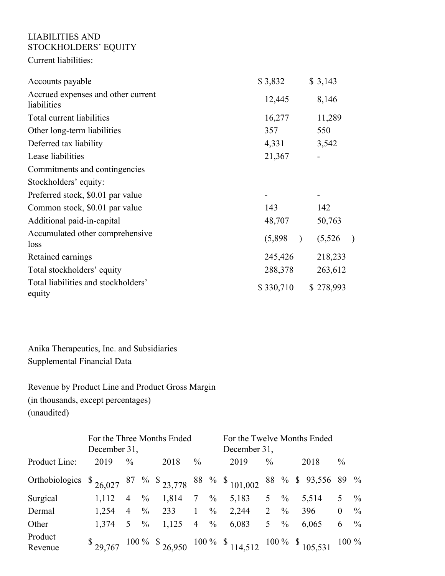## LIABILITIES AND STOCKHOLDERS' EQUITY

Current liabilities:

| Accounts payable                                  | \$3,832   | \$3,143              |
|---------------------------------------------------|-----------|----------------------|
| Accrued expenses and other current<br>liabilities | 12,445    | 8,146                |
| Total current liabilities                         | 16,277    | 11,289               |
| Other long-term liabilities                       | 357       | 550                  |
| Deferred tax liability                            | 4,331     | 3,542                |
| Lease liabilities                                 | 21,367    |                      |
| Commitments and contingencies                     |           |                      |
| Stockholders' equity:                             |           |                      |
| Preferred stock, \$0.01 par value                 |           |                      |
| Common stock, \$0.01 par value                    | 143       | 142                  |
| Additional paid-in-capital                        | 48,707    | 50,763               |
| Accumulated other comprehensive<br>loss           | (5,898)   | (5,526)<br>$\lambda$ |
| Retained earnings                                 | 245,426   | 218,233              |
| Total stockholders' equity                        | 288,378   | 263,612              |
| Total liabilities and stockholders'<br>equity     | \$330,710 | \$278,993            |

Anika Therapeutics, Inc. and Subsidiaries Supplemental Financial Data

Revenue by Product Line and Product Gross Margin (in thousands, except percentages) (unaudited)

|                                                                                       | For the Three Months Ended<br>December 31, |                 |  |         |                | For the Twelve Months Ended<br>December 31, |                                                             |                 |               |  |                     |                |               |
|---------------------------------------------------------------------------------------|--------------------------------------------|-----------------|--|---------|----------------|---------------------------------------------|-------------------------------------------------------------|-----------------|---------------|--|---------------------|----------------|---------------|
| Product Line:                                                                         | 2019                                       | $\frac{0}{0}$   |  | 2018    | $\frac{0}{0}$  |                                             | 2019                                                        | $\frac{0}{0}$   |               |  | 2018                | $\frac{0}{0}$  |               |
| Orthobiologics $\frac{1}{26,027}$ 87 % $\frac{1}{23,778}$ 88 % $\frac{1}{23,101,002}$ |                                            |                 |  |         |                |                                             |                                                             |                 |               |  | 88 % \$ 93,556 89 % |                |               |
| Surgical                                                                              | 1,112                                      | $4 \frac{6}{6}$ |  | 1,814 7 |                | $\%$                                        | 5,183                                                       | 5 <sup>5</sup>  | $\%$          |  | 5,514               | 5              | $\%$          |
| Dermal                                                                                | 1.254                                      | $4 \frac{9}{6}$ |  | 233     | $\overline{1}$ | $\%$                                        | 2,244 2                                                     |                 | $\frac{0}{0}$ |  | 396                 | $\overline{0}$ | $\%$          |
| Other                                                                                 | 1,374                                      | $5 \frac{6}{6}$ |  | 1,125   | $\overline{4}$ | $\%$                                        | 6,083                                                       | 5 $\frac{9}{6}$ |               |  | 6,065               | 6              | $\frac{0}{0}$ |
| Product<br>Revenue                                                                    |                                            |                 |  |         |                |                                             | $$29.767$ 100 % $$26.950$ 100 % $$114,512$ 100 % $$105,531$ |                 |               |  |                     | $100\%$        |               |